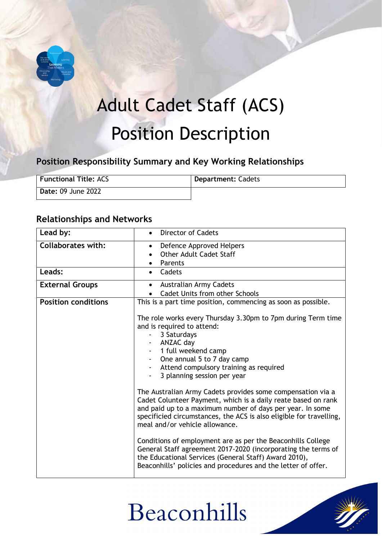

# Adult Cadet Staff (ACS) Position Description

## **Position Responsibility Summary and Key Working Relationships**

| <b>Functional Title: ACS</b> | <b>Department: Cadets</b> |
|------------------------------|---------------------------|
| Date: 09 June 2022           |                           |

### **Relationships and Networks**

| Lead by:                   | <b>Director of Cadets</b>                                                                                                                                                                                                                                                                          |
|----------------------------|----------------------------------------------------------------------------------------------------------------------------------------------------------------------------------------------------------------------------------------------------------------------------------------------------|
| <b>Collaborates with:</b>  | Defence Approved Helpers<br>$\bullet$<br>Other Adult Cadet Staff<br>Parents<br>$\bullet$                                                                                                                                                                                                           |
| Leads:                     | Cadets<br>$\bullet$                                                                                                                                                                                                                                                                                |
| <b>External Groups</b>     | <b>Australian Army Cadets</b><br>$\bullet$<br>Cadet Units from other Schools                                                                                                                                                                                                                       |
| <b>Position conditions</b> | This is a part time position, commencing as soon as possible.                                                                                                                                                                                                                                      |
|                            | The role works every Thursday 3.30pm to 7pm during Term time<br>and is required to attend:<br>3 Saturdays<br>ANZAC day<br>1 full weekend camp<br>$\sim 100$<br>One annual 5 to 7 day camp<br>Attend compulsory training as required<br>$\sim 100$<br>3 planning session per year                   |
|                            | The Australian Army Cadets provides some compensation via a<br>Cadet Colunteer Payment, which is a daily reate based on rank<br>and paid up to a maximum number of days per year. In some<br>specificied circumstances, the ACS is also eligible for travelling,<br>meal and/or vehicle allowance. |
|                            | Conditions of employment are as per the Beaconhills College<br>General Staff agreement 2017-2020 (incorporating the terms of<br>the Educational Services (General Staff) Award 2010),<br>Beaconhills' policies and procedures and the letter of offer.                                             |

# Beaconhills

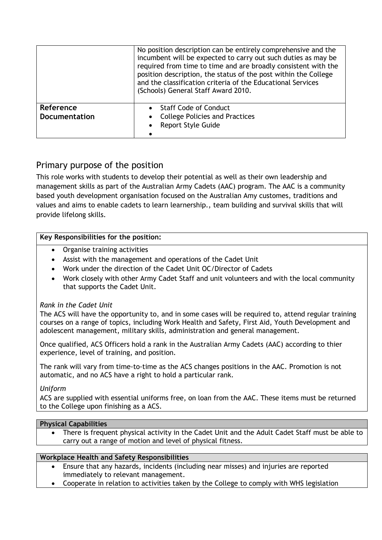|                                   | No position description can be entirely comprehensive and the<br>incumbent will be expected to carry out such duties as may be<br>required from time to time and are broadly consistent with the<br>position description, the status of the post within the College<br>and the classification criteria of the Educational Services<br>(Schools) General Staff Award 2010. |
|-----------------------------------|---------------------------------------------------------------------------------------------------------------------------------------------------------------------------------------------------------------------------------------------------------------------------------------------------------------------------------------------------------------------------|
| Reference<br><b>Documentation</b> | <b>Staff Code of Conduct</b><br><b>College Policies and Practices</b><br><b>Report Style Guide</b>                                                                                                                                                                                                                                                                        |
|                                   |                                                                                                                                                                                                                                                                                                                                                                           |

### Primary purpose of the position

This role works with students to develop their potential as well as their own leadership and management skills as part of the Australian Army Cadets (AAC) program. The AAC is a community based youth development organisation focused on the Australian Amy customes, traditions and values and aims to enable cadets to learn learnership., team building and survival skills that will provide lifelong skills.

#### **Key Responsibilities for the position:**

- Organise training activities
- Assist with the management and operations of the Cadet Unit
- Work under the direction of the Cadet Unit OC/Director of Cadets
- Work closely with other Army Cadet Staff and unit volunteers and with the local community that supports the Cadet Unit.

#### *Rank in the Cadet Unit*

The ACS will have the opportunity to, and in some cases will be required to, attend regular training courses on a range of topics, including Work Health and Safety, First Aid, Youth Development and adolescent management, military skills, administration and general management.

Once qualified, ACS Officers hold a rank in the Australian Army Cadets (AAC) according to thier experience, level of training, and position.

The rank will vary from time-to-time as the ACS changes positions in the AAC. Promotion is not automatic, and no ACS have a right to hold a particular rank.

#### *Uniform*

ACS are supplied with essential uniforms free, on loan from the AAC. These items must be returned to the College upon finishing as a ACS.

#### **Physical Capabilities**

• There is frequent physical activity in the Cadet Unit and the Adult Cadet Staff must be able to carry out a range of motion and level of physical fitness.

#### **Workplace Health and Safety Responsibilities**

- Ensure that any hazards, incidents (including near misses) and injuries are reported immediately to relevant management.
- Cooperate in relation to activities taken by the College to comply with WHS legislation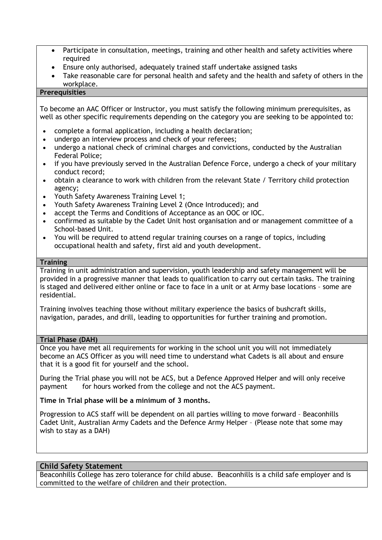- Participate in consultation, meetings, training and other health and safety activities where required
- Ensure only authorised, adequately trained staff undertake assigned tasks
- Take reasonable care for personal health and safety and the health and safety of others in the workplace.

#### **Prerequisities**

To become an AAC Officer or Instructor, you must satisfy the following minimum prerequisites, as well as other specific requirements depending on the category you are seeking to be appointed to:

- complete a formal application, including a health declaration;
- undergo an interview process and check of your referees;
- undergo a national check of criminal charges and convictions, conducted by the Australian Federal Police;
- if you have previously served in the Australian Defence Force, undergo a check of your military conduct record;
- obtain a clearance to work with children from the relevant State / Territory child protection agency;
- Youth Safety Awareness Training Level 1;
- Youth Safety Awareness Training Level 2 (Once Introduced); and
- accept the Terms and Conditions of Acceptance as an OOC or IOC.
- confirmed as suitable by the Cadet Unit host organisation and or management committee of a School-based Unit.
- You will be required to attend regular training courses on a range of topics, including occupational health and safety, first aid and youth development.

#### **Training**

Training in unit administration and supervision, youth leadership and safety management will be provided in a progressive manner that leads to qualification to carry out certain tasks. The training is staged and delivered either online or face to face in a unit or at Army base locations – some are residential.

Training involves teaching those without military experience the basics of bushcraft skills, navigation, parades, and drill, leading to opportunities for further training and promotion.

#### **Trial Phase (DAH)**

Once you have met all requirements for working in the school unit you will not immediately become an ACS Officer as you will need time to understand what Cadets is all about and ensure that it is a good fit for yourself and the school.

During the Trial phase you will not be ACS, but a Defence Approved Helper and will only receive payment for hours worked from the college and not the ACS payment.

**Time in Trial phase will be a minimum of 3 months.** 

Progression to ACS staff will be dependent on all parties willing to move forward – Beaconhills Cadet Unit, Australian Army Cadets and the Defence Army Helper – (Please note that some may wish to stay as a DAH)

#### **Child Safety Statement**

Beaconhills College has zero tolerance for child abuse. Beaconhills is a child safe employer and is committed to the welfare of children and their protection.